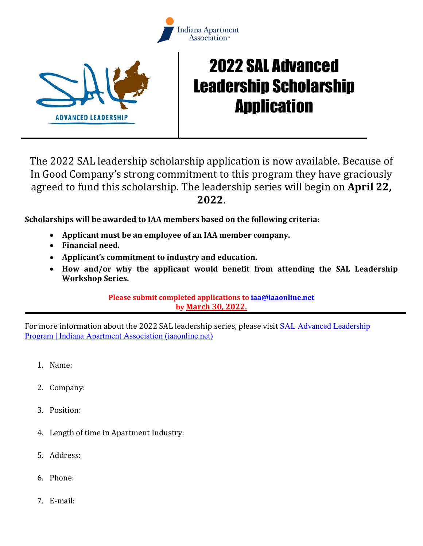



## 2022 SAL Advanced Leadership Scholarship Application

The 2022 SAL leadership scholarship application is now available. Because of In Good Company's strong commitment to this program they have graciously agreed to fund this scholarship. The leadership series will begin on **April 22, 2022**.

**Scholarships will be awarded to IAA members based on the following criteria:** 

- **Applicant must be an employee of an IAA member company.**
- **Financial need.**
- **Applicant's commitment to industry and education.**
- **How and/or why the applicant would benefit from attending the SAL Leadership Workshop Series.**

**Please submit completed applications to [iaa@iaaonline.net](mailto:iaa@iaaonline.net) by March 30, 2022.**

For more information about the 2022 SAL leadership series, please visit [SAL Advanced Leadership](https://iaaonline.net/sal-advanced-leadership-program/)  [Program | Indiana Apartment Association \(iaaonline.net\)](https://iaaonline.net/sal-advanced-leadership-program/)

- 1. Name:
- 2. Company:
- 3. Position:
- 4. Length of time in Apartment Industry:
- 5. Address:
- 6. Phone:
- 7. E-mail: